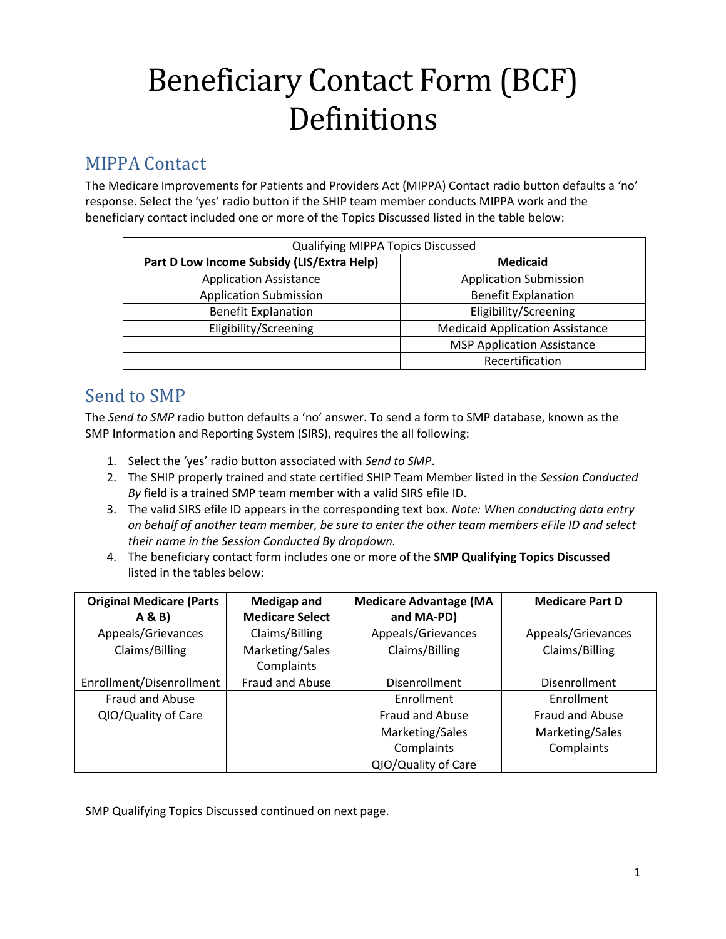# Beneficiary Contact Form (BCF) Definitions

### MIPPA Contact

The Medicare Improvements for Patients and Providers Act (MIPPA) Contact radio button defaults a 'no' response. Select the 'yes' radio button if the SHIP team member conducts MIPPA work and the beneficiary contact included one or more of the Topics Discussed listed in the table below:

| <b>Qualifying MIPPA Topics Discussed</b>   |                                        |  |
|--------------------------------------------|----------------------------------------|--|
| Part D Low Income Subsidy (LIS/Extra Help) | <b>Medicaid</b>                        |  |
| <b>Application Assistance</b>              | <b>Application Submission</b>          |  |
| <b>Application Submission</b>              | <b>Benefit Explanation</b>             |  |
| <b>Benefit Explanation</b>                 | Eligibility/Screening                  |  |
| Eligibility/Screening                      | <b>Medicaid Application Assistance</b> |  |
|                                            | <b>MSP Application Assistance</b>      |  |
|                                            | Recertification                        |  |

### Send to SMP

The *Send to SMP* radio button defaults a 'no' answer. To send a form to SMP database, known as the SMP Information and Reporting System (SIRS), requires the all following:

- 1. Select the 'yes' radio button associated with *Send to SMP*.
- 2. The SHIP properly trained and state certified SHIP Team Member listed in the *Session Conducted By* field is a trained SMP team member with a valid SIRS efile ID.
- 3. The valid SIRS efile ID appears in the corresponding text box. *Note: When conducting data entry on behalf of another team member, be sure to enter the other team members eFile ID and select their name in the Session Conducted By dropdown.*
- 4. The beneficiary contact form includes one or more of the **SMP Qualifying Topics Discussed**  listed in the tables below:

| <b>Original Medicare (Parts</b> | <b>Medigap and</b>     | <b>Medicare Advantage (MA</b> | <b>Medicare Part D</b> |
|---------------------------------|------------------------|-------------------------------|------------------------|
| A & B                           | <b>Medicare Select</b> | and MA-PD)                    |                        |
| Appeals/Grievances              | Claims/Billing         | Appeals/Grievances            | Appeals/Grievances     |
| Claims/Billing                  | Marketing/Sales        | Claims/Billing                | Claims/Billing         |
|                                 | Complaints             |                               |                        |
| Enrollment/Disenrollment        | Fraud and Abuse        | Disenrollment                 | Disenrollment          |
| Fraud and Abuse                 |                        | Enrollment                    | Enrollment             |
| QIO/Quality of Care             |                        | Fraud and Abuse               | Fraud and Abuse        |
|                                 |                        | Marketing/Sales               | Marketing/Sales        |
|                                 |                        | Complaints                    | Complaints             |
|                                 |                        | QIO/Quality of Care           |                        |

SMP Qualifying Topics Discussed continued on next page.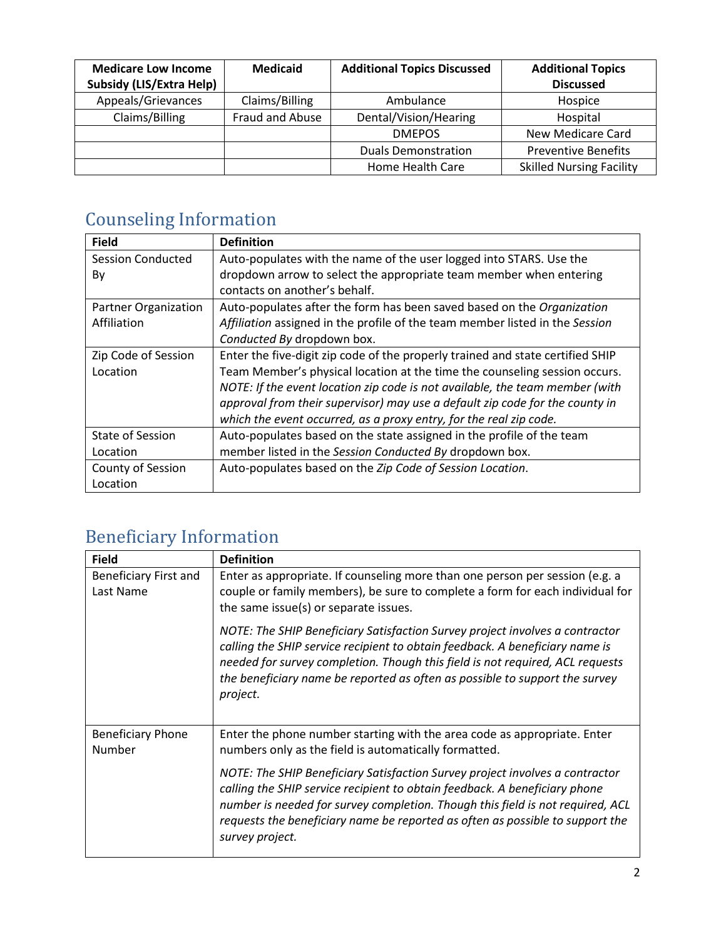| <b>Medicare Low Income</b>      | <b>Medicaid</b> | <b>Additional Topics Discussed</b> | <b>Additional Topics</b>        |
|---------------------------------|-----------------|------------------------------------|---------------------------------|
| <b>Subsidy (LIS/Extra Help)</b> |                 |                                    | <b>Discussed</b>                |
| Appeals/Grievances              | Claims/Billing  | Ambulance                          | Hospice                         |
| Claims/Billing                  | Fraud and Abuse | Dental/Vision/Hearing              | Hospital                        |
|                                 |                 | <b>DMEPOS</b>                      | New Medicare Card               |
|                                 |                 | <b>Duals Demonstration</b>         | <b>Preventive Benefits</b>      |
|                                 |                 | Home Health Care                   | <b>Skilled Nursing Facility</b> |

## Counseling Information

| <b>Field</b>                | <b>Definition</b>                                                              |
|-----------------------------|--------------------------------------------------------------------------------|
| Session Conducted           | Auto-populates with the name of the user logged into STARS. Use the            |
| Bv                          | dropdown arrow to select the appropriate team member when entering             |
|                             | contacts on another's behalf.                                                  |
| <b>Partner Organization</b> | Auto-populates after the form has been saved based on the Organization         |
| Affiliation                 | Affiliation assigned in the profile of the team member listed in the Session   |
|                             | Conducted By dropdown box.                                                     |
| Zip Code of Session         | Enter the five-digit zip code of the properly trained and state certified SHIP |
| Location                    | Team Member's physical location at the time the counseling session occurs.     |
|                             | NOTE: If the event location zip code is not available, the team member (with   |
|                             | approval from their supervisor) may use a default zip code for the county in   |
|                             | which the event occurred, as a proxy entry, for the real zip code.             |
| <b>State of Session</b>     | Auto-populates based on the state assigned in the profile of the team          |
| Location                    | member listed in the Session Conducted By dropdown box.                        |
| County of Session           | Auto-populates based on the Zip Code of Session Location.                      |
| Location                    |                                                                                |

## Beneficiary Information

| <b>Field</b>                       | <b>Definition</b>                                                                                                                                                                                                                                                                                                                                |
|------------------------------------|--------------------------------------------------------------------------------------------------------------------------------------------------------------------------------------------------------------------------------------------------------------------------------------------------------------------------------------------------|
| Beneficiary First and<br>Last Name | Enter as appropriate. If counseling more than one person per session (e.g. a<br>couple or family members), be sure to complete a form for each individual for<br>the same issue(s) or separate issues.                                                                                                                                           |
|                                    | NOTE: The SHIP Beneficiary Satisfaction Survey project involves a contractor<br>calling the SHIP service recipient to obtain feedback. A beneficiary name is<br>needed for survey completion. Though this field is not required, ACL requests<br>the beneficiary name be reported as often as possible to support the survey<br>project.         |
| <b>Beneficiary Phone</b><br>Number | Enter the phone number starting with the area code as appropriate. Enter<br>numbers only as the field is automatically formatted.                                                                                                                                                                                                                |
|                                    | NOTE: The SHIP Beneficiary Satisfaction Survey project involves a contractor<br>calling the SHIP service recipient to obtain feedback. A beneficiary phone<br>number is needed for survey completion. Though this field is not required, ACL<br>requests the beneficiary name be reported as often as possible to support the<br>survey project. |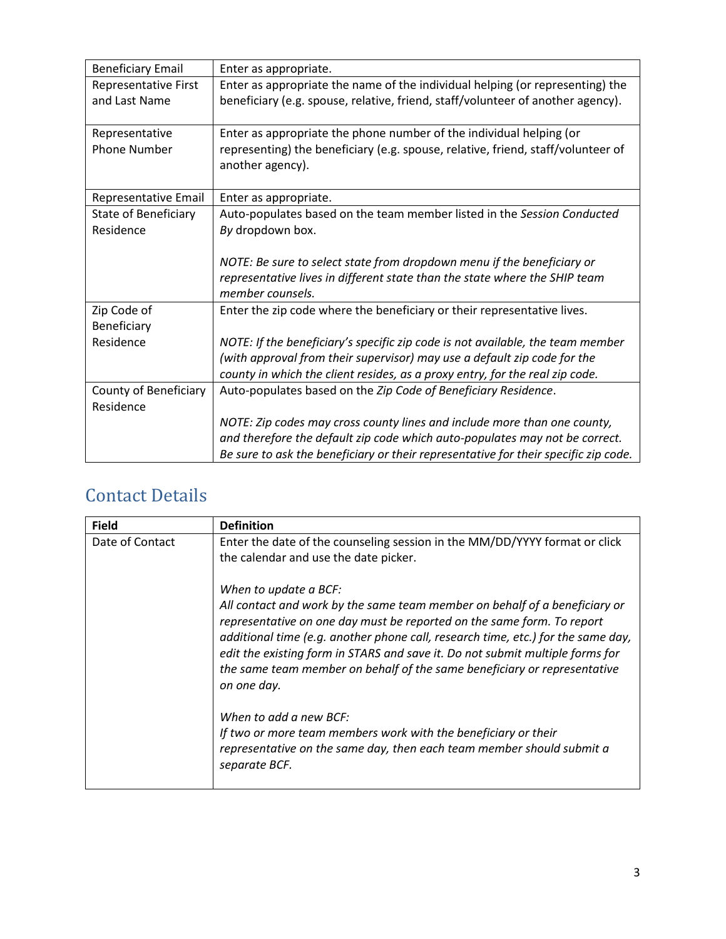| <b>Beneficiary Email</b> | Enter as appropriate.                                                                                |
|--------------------------|------------------------------------------------------------------------------------------------------|
| Representative First     | Enter as appropriate the name of the individual helping (or representing) the                        |
| and Last Name            | beneficiary (e.g. spouse, relative, friend, staff/volunteer of another agency).                      |
| Representative           | Enter as appropriate the phone number of the individual helping (or                                  |
| <b>Phone Number</b>      | representing) the beneficiary (e.g. spouse, relative, friend, staff/volunteer of<br>another agency). |
| Representative Email     | Enter as appropriate.                                                                                |
| State of Beneficiary     | Auto-populates based on the team member listed in the Session Conducted                              |
| Residence                | By dropdown box.                                                                                     |
|                          |                                                                                                      |
|                          | NOTE: Be sure to select state from dropdown menu if the beneficiary or                               |
|                          | representative lives in different state than the state where the SHIP team<br>member counsels.       |
| Zip Code of              | Enter the zip code where the beneficiary or their representative lives.                              |
| Beneficiary              |                                                                                                      |
| Residence                | NOTE: If the beneficiary's specific zip code is not available, the team member                       |
|                          | (with approval from their supervisor) may use a default zip code for the                             |
|                          | county in which the client resides, as a proxy entry, for the real zip code.                         |
| County of Beneficiary    | Auto-populates based on the Zip Code of Beneficiary Residence.                                       |
| Residence                |                                                                                                      |
|                          | NOTE: Zip codes may cross county lines and include more than one county,                             |
|                          | and therefore the default zip code which auto-populates may not be correct.                          |
|                          | Be sure to ask the beneficiary or their representative for their specific zip code.                  |

## Contact Details

| <b>Field</b>    | <b>Definition</b>                                                                                                                                                                                                                                                                                                                                                                                                                                                                                                                                                                                                                   |
|-----------------|-------------------------------------------------------------------------------------------------------------------------------------------------------------------------------------------------------------------------------------------------------------------------------------------------------------------------------------------------------------------------------------------------------------------------------------------------------------------------------------------------------------------------------------------------------------------------------------------------------------------------------------|
| Date of Contact | Enter the date of the counseling session in the MM/DD/YYYY format or click<br>the calendar and use the date picker.                                                                                                                                                                                                                                                                                                                                                                                                                                                                                                                 |
|                 | When to update a BCF:<br>All contact and work by the same team member on behalf of a beneficiary or<br>representative on one day must be reported on the same form. To report<br>additional time (e.g. another phone call, research time, etc.) for the same day,<br>edit the existing form in STARS and save it. Do not submit multiple forms for<br>the same team member on behalf of the same beneficiary or representative<br>on one day.<br>When to add a new BCF:<br>If two or more team members work with the beneficiary or their<br>representative on the same day, then each team member should submit a<br>separate BCF. |
|                 |                                                                                                                                                                                                                                                                                                                                                                                                                                                                                                                                                                                                                                     |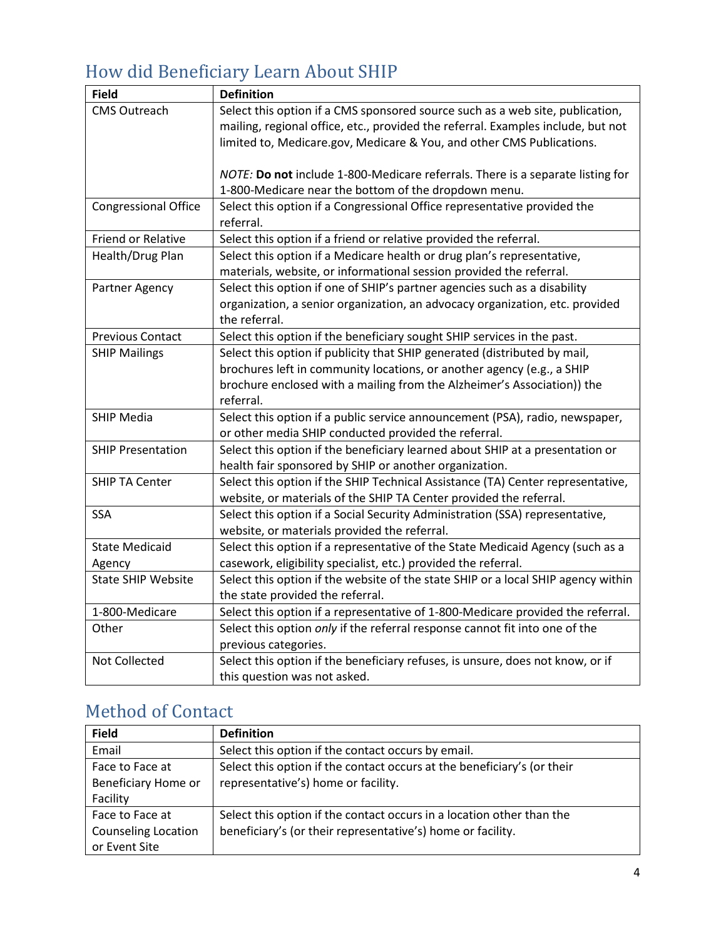## How did Beneficiary Learn About SHIP

| <b>Field</b>                | <b>Definition</b>                                                                 |
|-----------------------------|-----------------------------------------------------------------------------------|
| <b>CMS Outreach</b>         | Select this option if a CMS sponsored source such as a web site, publication,     |
|                             | mailing, regional office, etc., provided the referral. Examples include, but not  |
|                             | limited to, Medicare.gov, Medicare & You, and other CMS Publications.             |
|                             |                                                                                   |
|                             | NOTE: Do not include 1-800-Medicare referrals. There is a separate listing for    |
|                             | 1-800-Medicare near the bottom of the dropdown menu.                              |
| <b>Congressional Office</b> | Select this option if a Congressional Office representative provided the          |
|                             | referral.                                                                         |
| <b>Friend or Relative</b>   | Select this option if a friend or relative provided the referral.                 |
| Health/Drug Plan            | Select this option if a Medicare health or drug plan's representative,            |
|                             | materials, website, or informational session provided the referral.               |
| Partner Agency              | Select this option if one of SHIP's partner agencies such as a disability         |
|                             | organization, a senior organization, an advocacy organization, etc. provided      |
|                             | the referral.                                                                     |
| Previous Contact            | Select this option if the beneficiary sought SHIP services in the past.           |
| <b>SHIP Mailings</b>        | Select this option if publicity that SHIP generated (distributed by mail,         |
|                             | brochures left in community locations, or another agency (e.g., a SHIP            |
|                             | brochure enclosed with a mailing from the Alzheimer's Association)) the           |
|                             | referral.                                                                         |
| <b>SHIP Media</b>           | Select this option if a public service announcement (PSA), radio, newspaper,      |
|                             | or other media SHIP conducted provided the referral.                              |
| <b>SHIP Presentation</b>    | Select this option if the beneficiary learned about SHIP at a presentation or     |
|                             | health fair sponsored by SHIP or another organization.                            |
| <b>SHIP TA Center</b>       | Select this option if the SHIP Technical Assistance (TA) Center representative,   |
|                             | website, or materials of the SHIP TA Center provided the referral.                |
| <b>SSA</b>                  | Select this option if a Social Security Administration (SSA) representative,      |
|                             | website, or materials provided the referral.                                      |
| <b>State Medicaid</b>       | Select this option if a representative of the State Medicaid Agency (such as a    |
| Agency                      | casework, eligibility specialist, etc.) provided the referral.                    |
| <b>State SHIP Website</b>   | Select this option if the website of the state SHIP or a local SHIP agency within |
|                             | the state provided the referral.                                                  |
| 1-800-Medicare              | Select this option if a representative of 1-800-Medicare provided the referral.   |
| Other                       | Select this option only if the referral response cannot fit into one of the       |
|                             | previous categories.                                                              |
| Not Collected               | Select this option if the beneficiary refuses, is unsure, does not know, or if    |
|                             | this question was not asked.                                                      |

## Method of Contact

| <b>Field</b>               | <b>Definition</b>                                                       |
|----------------------------|-------------------------------------------------------------------------|
| Email                      | Select this option if the contact occurs by email.                      |
| Face to Face at            | Select this option if the contact occurs at the beneficiary's (or their |
| Beneficiary Home or        | representative's) home or facility.                                     |
| Facility                   |                                                                         |
| Face to Face at            | Select this option if the contact occurs in a location other than the   |
| <b>Counseling Location</b> | beneficiary's (or their representative's) home or facility.             |
| or Event Site              |                                                                         |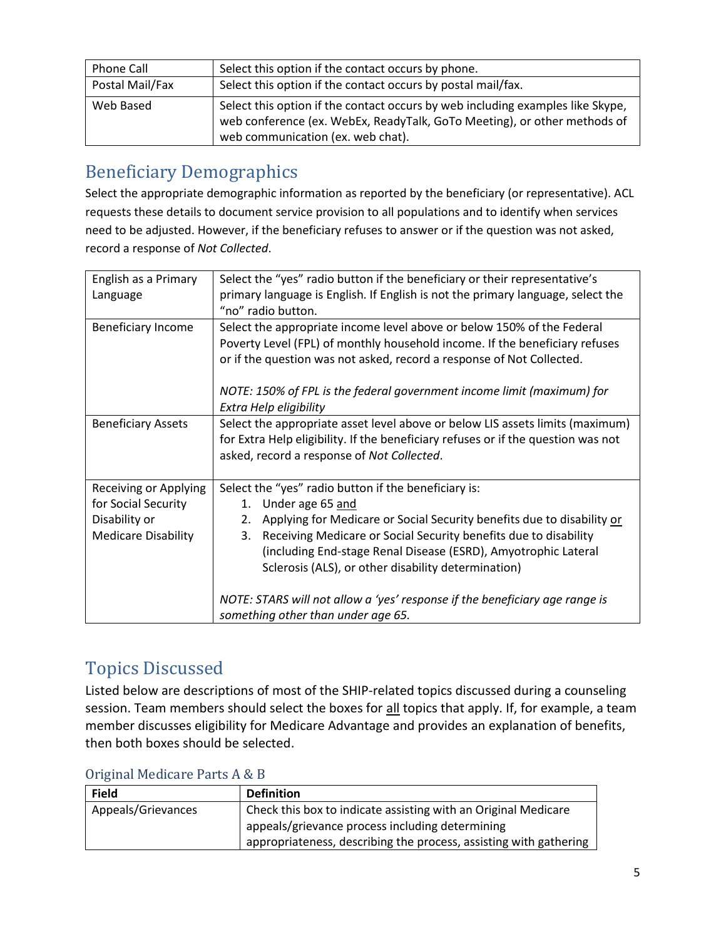| Phone Call      | Select this option if the contact occurs by phone.                                                                                                                                              |
|-----------------|-------------------------------------------------------------------------------------------------------------------------------------------------------------------------------------------------|
| Postal Mail/Fax | Select this option if the contact occurs by postal mail/fax.                                                                                                                                    |
| Web Based       | Select this option if the contact occurs by web including examples like Skype,<br>web conference (ex. WebEx, ReadyTalk, GoTo Meeting), or other methods of<br>web communication (ex. web chat). |

## Beneficiary Demographics

Select the appropriate demographic information as reported by the beneficiary (or representative). ACL requests these details to document service provision to all populations and to identify when services need to be adjusted. However, if the beneficiary refuses to answer or if the question was not asked, record a response of *Not Collected*.

| English as a Primary       | Select the "yes" radio button if the beneficiary or their representative's        |
|----------------------------|-----------------------------------------------------------------------------------|
| Language                   | primary language is English. If English is not the primary language, select the   |
|                            | "no" radio button.                                                                |
| <b>Beneficiary Income</b>  | Select the appropriate income level above or below 150% of the Federal            |
|                            | Poverty Level (FPL) of monthly household income. If the beneficiary refuses       |
|                            | or if the question was not asked, record a response of Not Collected.             |
|                            | NOTE: 150% of FPL is the federal government income limit (maximum) for            |
|                            | Extra Help eligibility                                                            |
| <b>Beneficiary Assets</b>  | Select the appropriate asset level above or below LIS assets limits (maximum)     |
|                            | for Extra Help eligibility. If the beneficiary refuses or if the question was not |
|                            | asked, record a response of Not Collected.                                        |
|                            |                                                                                   |
| Receiving or Applying      | Select the "yes" radio button if the beneficiary is:                              |
| for Social Security        | 1. Under age 65 and                                                               |
| Disability or              | Applying for Medicare or Social Security benefits due to disability or<br>2.      |
| <b>Medicare Disability</b> | Receiving Medicare or Social Security benefits due to disability<br>3.            |
|                            | (including End-stage Renal Disease (ESRD), Amyotrophic Lateral                    |
|                            | Sclerosis (ALS), or other disability determination)                               |
|                            | NOTE: STARS will not allow a 'yes' response if the beneficiary age range is       |
|                            | something other than under age 65.                                                |

## Topics Discussed

Listed below are descriptions of most of the SHIP-related topics discussed during a counseling session. Team members should select the boxes for all topics that apply. If, for example, a team member discusses eligibility for Medicare Advantage and provides an explanation of benefits, then both boxes should be selected.

| $U_1$ is independent of the $U_2$ in $\alpha$ $D$ |                                                                   |  |
|---------------------------------------------------|-------------------------------------------------------------------|--|
| <b>Field</b>                                      | <b>Definition</b>                                                 |  |
| Appeals/Grievances                                | Check this box to indicate assisting with an Original Medicare    |  |
|                                                   | appeals/grievance process including determining                   |  |
|                                                   | appropriateness, describing the process, assisting with gathering |  |

#### Original Medicare Parts A & B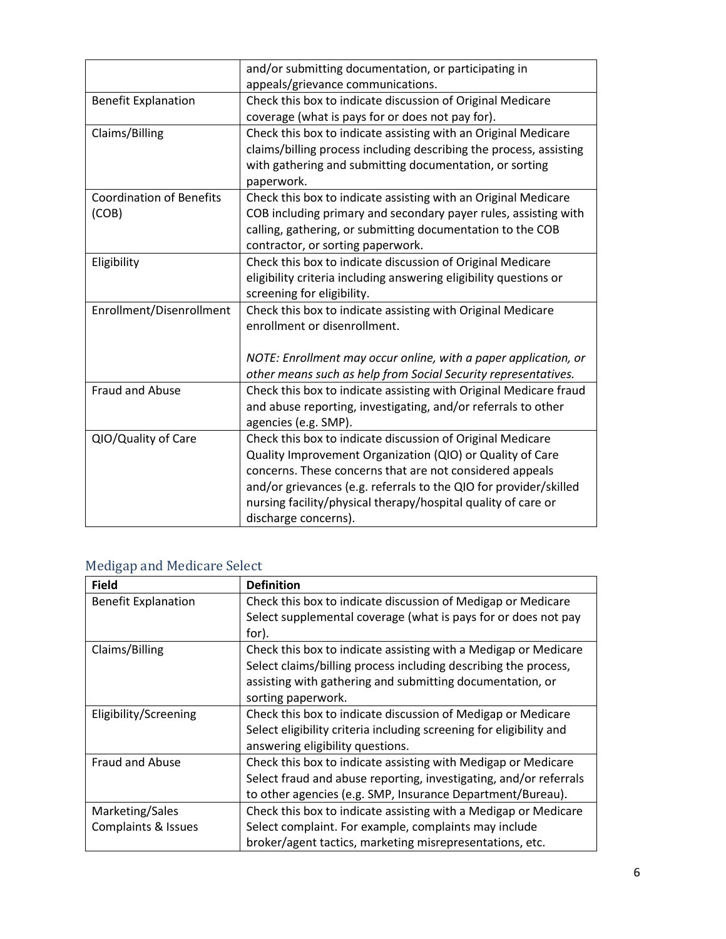| and/or submitting documentation, or participating in               |
|--------------------------------------------------------------------|
| Check this box to indicate discussion of Original Medicare         |
| coverage (what is pays for or does not pay for).                   |
| Check this box to indicate assisting with an Original Medicare     |
| claims/billing process including describing the process, assisting |
| with gathering and submitting documentation, or sorting            |
|                                                                    |
| Check this box to indicate assisting with an Original Medicare     |
| COB including primary and secondary payer rules, assisting with    |
| calling, gathering, or submitting documentation to the COB         |
|                                                                    |
| Check this box to indicate discussion of Original Medicare         |
| eligibility criteria including answering eligibility questions or  |
|                                                                    |
| Check this box to indicate assisting with Original Medicare        |
|                                                                    |
|                                                                    |
| NOTE: Enrollment may occur online, with a paper application, or    |
| other means such as help from Social Security representatives.     |
| Check this box to indicate assisting with Original Medicare fraud  |
| and abuse reporting, investigating, and/or referrals to other      |
|                                                                    |
| Check this box to indicate discussion of Original Medicare         |
| Quality Improvement Organization (QIO) or Quality of Care          |
| concerns. These concerns that are not considered appeals           |
| and/or grievances (e.g. referrals to the QIO for provider/skilled  |
| nursing facility/physical therapy/hospital quality of care or      |
|                                                                    |
|                                                                    |

### Medigap and Medicare Select

| <b>Field</b>               | <b>Definition</b>                                                   |
|----------------------------|---------------------------------------------------------------------|
| <b>Benefit Explanation</b> | Check this box to indicate discussion of Medigap or Medicare        |
|                            | Select supplemental coverage (what is pays for or does not pay      |
|                            | for).                                                               |
| Claims/Billing             | Check this box to indicate assisting with a Medigap or Medicare     |
|                            | Select claims/billing process including describing the process,     |
|                            | assisting with gathering and submitting documentation, or           |
|                            | sorting paperwork.                                                  |
| Eligibility/Screening      | Check this box to indicate discussion of Medigap or Medicare        |
|                            | Select eligibility criteria including screening for eligibility and |
|                            | answering eligibility questions.                                    |
| <b>Fraud and Abuse</b>     | Check this box to indicate assisting with Medigap or Medicare       |
|                            | Select fraud and abuse reporting, investigating, and/or referrals   |
|                            | to other agencies (e.g. SMP, Insurance Department/Bureau).          |
| Marketing/Sales            | Check this box to indicate assisting with a Medigap or Medicare     |
| Complaints & Issues        | Select complaint. For example, complaints may include               |
|                            | broker/agent tactics, marketing misrepresentations, etc.            |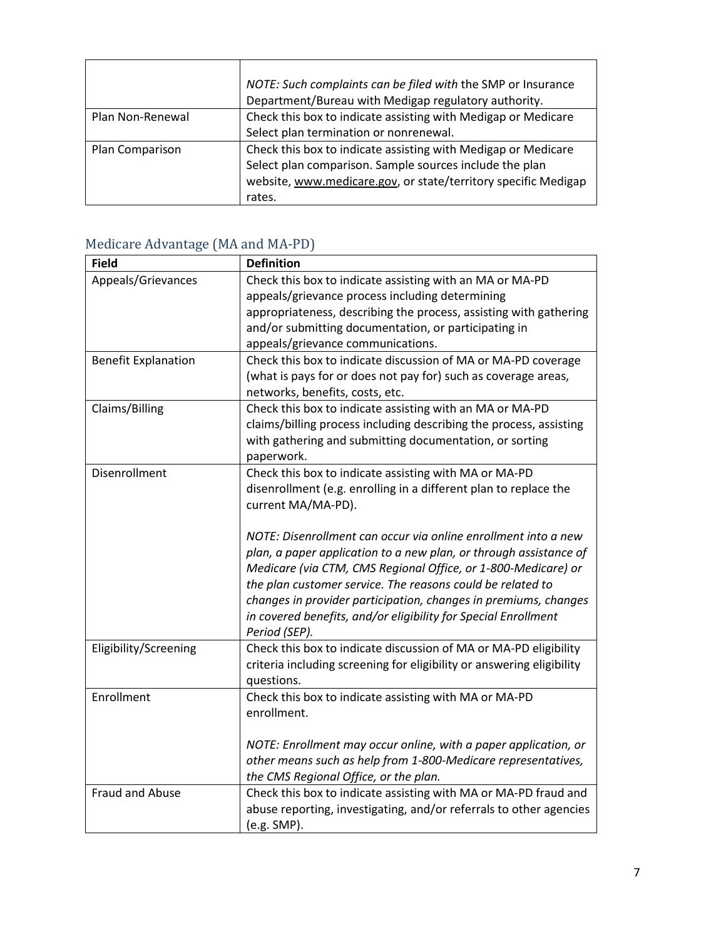|                  | NOTE: Such complaints can be filed with the SMP or Insurance<br>Department/Bureau with Medigap regulatory authority. |
|------------------|----------------------------------------------------------------------------------------------------------------------|
| Plan Non-Renewal | Check this box to indicate assisting with Medigap or Medicare                                                        |
|                  | Select plan termination or nonrenewal.                                                                               |
| Plan Comparison  | Check this box to indicate assisting with Medigap or Medicare                                                        |
|                  | Select plan comparison. Sample sources include the plan                                                              |
|                  | website, www.medicare.gov, or state/territory specific Medigap                                                       |
|                  | rates.                                                                                                               |

### Medicare Advantage (MA and MA-PD)

| <b>Field</b>               | <b>Definition</b>                                                     |
|----------------------------|-----------------------------------------------------------------------|
| Appeals/Grievances         | Check this box to indicate assisting with an MA or MA-PD              |
|                            | appeals/grievance process including determining                       |
|                            | appropriateness, describing the process, assisting with gathering     |
|                            | and/or submitting documentation, or participating in                  |
|                            | appeals/grievance communications.                                     |
| <b>Benefit Explanation</b> | Check this box to indicate discussion of MA or MA-PD coverage         |
|                            | (what is pays for or does not pay for) such as coverage areas,        |
|                            | networks, benefits, costs, etc.                                       |
| Claims/Billing             | Check this box to indicate assisting with an MA or MA-PD              |
|                            | claims/billing process including describing the process, assisting    |
|                            | with gathering and submitting documentation, or sorting               |
|                            | paperwork.                                                            |
| Disenrollment              | Check this box to indicate assisting with MA or MA-PD                 |
|                            | disenrollment (e.g. enrolling in a different plan to replace the      |
|                            | current MA/MA-PD).                                                    |
|                            |                                                                       |
|                            | NOTE: Disenrollment can occur via online enrollment into a new        |
|                            | plan, a paper application to a new plan, or through assistance of     |
|                            | Medicare (via CTM, CMS Regional Office, or 1-800-Medicare) or         |
|                            | the plan customer service. The reasons could be related to            |
|                            | changes in provider participation, changes in premiums, changes       |
|                            | in covered benefits, and/or eligibility for Special Enrollment        |
|                            | Period (SEP).                                                         |
| Eligibility/Screening      | Check this box to indicate discussion of MA or MA-PD eligibility      |
|                            | criteria including screening for eligibility or answering eligibility |
|                            | questions.                                                            |
| Enrollment                 | Check this box to indicate assisting with MA or MA-PD                 |
|                            | enrollment.                                                           |
|                            |                                                                       |
|                            | NOTE: Enrollment may occur online, with a paper application, or       |
|                            | other means such as help from 1-800-Medicare representatives,         |
|                            | the CMS Regional Office, or the plan.                                 |
| Fraud and Abuse            | Check this box to indicate assisting with MA or MA-PD fraud and       |
|                            | abuse reporting, investigating, and/or referrals to other agencies    |
|                            | (e.g. SMP).                                                           |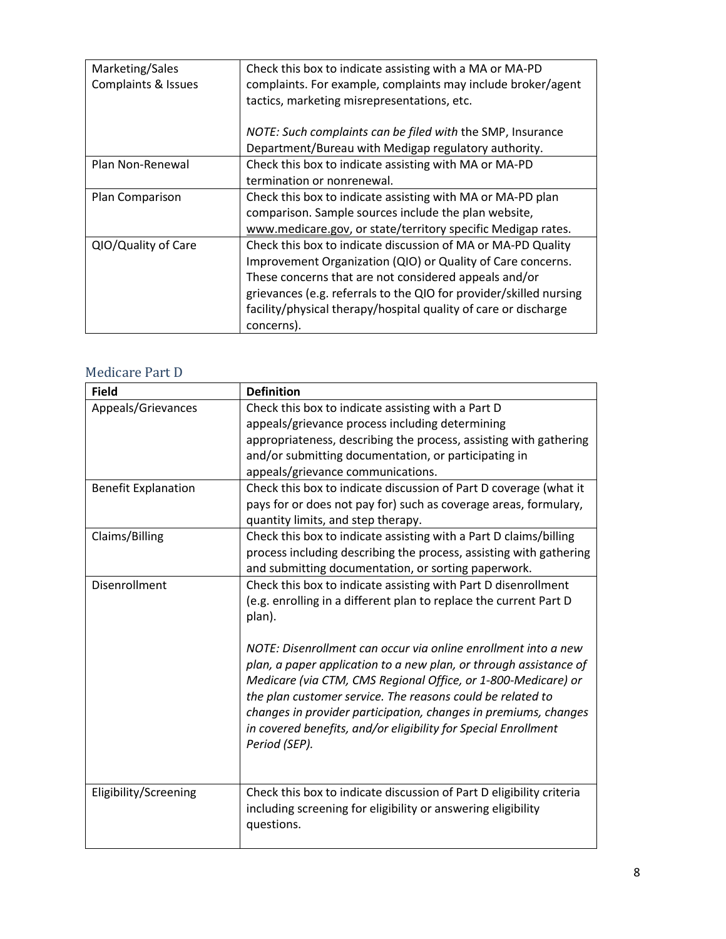| Marketing/Sales<br>Complaints & Issues | Check this box to indicate assisting with a MA or MA-PD<br>complaints. For example, complaints may include broker/agent<br>tactics, marketing misrepresentations, etc.                                                                                                                                                                      |
|----------------------------------------|---------------------------------------------------------------------------------------------------------------------------------------------------------------------------------------------------------------------------------------------------------------------------------------------------------------------------------------------|
|                                        | NOTE: Such complaints can be filed with the SMP, Insurance<br>Department/Bureau with Medigap regulatory authority.                                                                                                                                                                                                                          |
| Plan Non-Renewal                       | Check this box to indicate assisting with MA or MA-PD<br>termination or nonrenewal.                                                                                                                                                                                                                                                         |
| Plan Comparison                        | Check this box to indicate assisting with MA or MA-PD plan<br>comparison. Sample sources include the plan website,<br>www.medicare.gov, or state/territory specific Medigap rates.                                                                                                                                                          |
| QIO/Quality of Care                    | Check this box to indicate discussion of MA or MA-PD Quality<br>Improvement Organization (QIO) or Quality of Care concerns.<br>These concerns that are not considered appeals and/or<br>grievances (e.g. referrals to the QIO for provider/skilled nursing<br>facility/physical therapy/hospital quality of care or discharge<br>concerns). |

#### Medicare Part D

| <b>Field</b>               | <b>Definition</b>                                                    |
|----------------------------|----------------------------------------------------------------------|
| Appeals/Grievances         | Check this box to indicate assisting with a Part D                   |
|                            | appeals/grievance process including determining                      |
|                            | appropriateness, describing the process, assisting with gathering    |
|                            | and/or submitting documentation, or participating in                 |
|                            | appeals/grievance communications.                                    |
| <b>Benefit Explanation</b> | Check this box to indicate discussion of Part D coverage (what it    |
|                            | pays for or does not pay for) such as coverage areas, formulary,     |
|                            | quantity limits, and step therapy.                                   |
| Claims/Billing             | Check this box to indicate assisting with a Part D claims/billing    |
|                            | process including describing the process, assisting with gathering   |
|                            | and submitting documentation, or sorting paperwork.                  |
| Disenrollment              | Check this box to indicate assisting with Part D disenrollment       |
|                            | (e.g. enrolling in a different plan to replace the current Part D    |
|                            | plan).                                                               |
|                            |                                                                      |
|                            | NOTE: Disenrollment can occur via online enrollment into a new       |
|                            | plan, a paper application to a new plan, or through assistance of    |
|                            | Medicare (via CTM, CMS Regional Office, or 1-800-Medicare) or        |
|                            | the plan customer service. The reasons could be related to           |
|                            | changes in provider participation, changes in premiums, changes      |
|                            | in covered benefits, and/or eligibility for Special Enrollment       |
|                            | Period (SEP).                                                        |
|                            |                                                                      |
| Eligibility/Screening      | Check this box to indicate discussion of Part D eligibility criteria |
|                            | including screening for eligibility or answering eligibility         |
|                            | questions.                                                           |
|                            |                                                                      |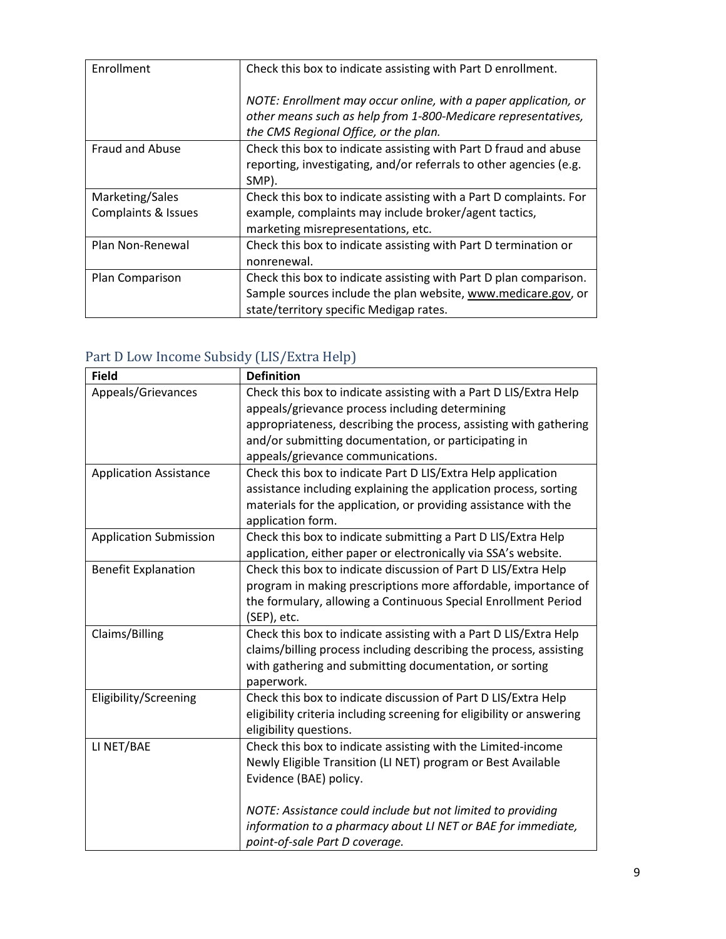| Enrollment                             | Check this box to indicate assisting with Part D enrollment.                                                                                                                  |
|----------------------------------------|-------------------------------------------------------------------------------------------------------------------------------------------------------------------------------|
|                                        | NOTE: Enrollment may occur online, with a paper application, or<br>other means such as help from 1-800-Medicare representatives,<br>the CMS Regional Office, or the plan.     |
| <b>Fraud and Abuse</b>                 | Check this box to indicate assisting with Part D fraud and abuse<br>reporting, investigating, and/or referrals to other agencies (e.g.<br>SMP).                               |
| Marketing/Sales<br>Complaints & Issues | Check this box to indicate assisting with a Part D complaints. For<br>example, complaints may include broker/agent tactics,<br>marketing misrepresentations, etc.             |
| Plan Non-Renewal                       | Check this box to indicate assisting with Part D termination or<br>nonrenewal.                                                                                                |
| Plan Comparison                        | Check this box to indicate assisting with Part D plan comparison.<br>Sample sources include the plan website, www.medicare.gov, or<br>state/territory specific Medigap rates. |

#### Part D Low Income Subsidy (LIS/Extra Help)

| <b>Field</b>                  | <b>Definition</b>                                                     |
|-------------------------------|-----------------------------------------------------------------------|
| Appeals/Grievances            | Check this box to indicate assisting with a Part D LIS/Extra Help     |
|                               | appeals/grievance process including determining                       |
|                               | appropriateness, describing the process, assisting with gathering     |
|                               | and/or submitting documentation, or participating in                  |
|                               | appeals/grievance communications.                                     |
| <b>Application Assistance</b> | Check this box to indicate Part D LIS/Extra Help application          |
|                               | assistance including explaining the application process, sorting      |
|                               | materials for the application, or providing assistance with the       |
|                               | application form.                                                     |
| <b>Application Submission</b> | Check this box to indicate submitting a Part D LIS/Extra Help         |
|                               | application, either paper or electronically via SSA's website.        |
| <b>Benefit Explanation</b>    | Check this box to indicate discussion of Part D LIS/Extra Help        |
|                               | program in making prescriptions more affordable, importance of        |
|                               | the formulary, allowing a Continuous Special Enrollment Period        |
|                               | (SEP), etc.                                                           |
| Claims/Billing                | Check this box to indicate assisting with a Part D LIS/Extra Help     |
|                               | claims/billing process including describing the process, assisting    |
|                               | with gathering and submitting documentation, or sorting               |
|                               | paperwork.                                                            |
| Eligibility/Screening         | Check this box to indicate discussion of Part D LIS/Extra Help        |
|                               | eligibility criteria including screening for eligibility or answering |
|                               | eligibility questions.                                                |
| LI NET/BAE                    | Check this box to indicate assisting with the Limited-income          |
|                               | Newly Eligible Transition (LI NET) program or Best Available          |
|                               | Evidence (BAE) policy.                                                |
|                               | NOTE: Assistance could include but not limited to providing           |
|                               | information to a pharmacy about LI NET or BAE for immediate,          |
|                               | point-of-sale Part D coverage.                                        |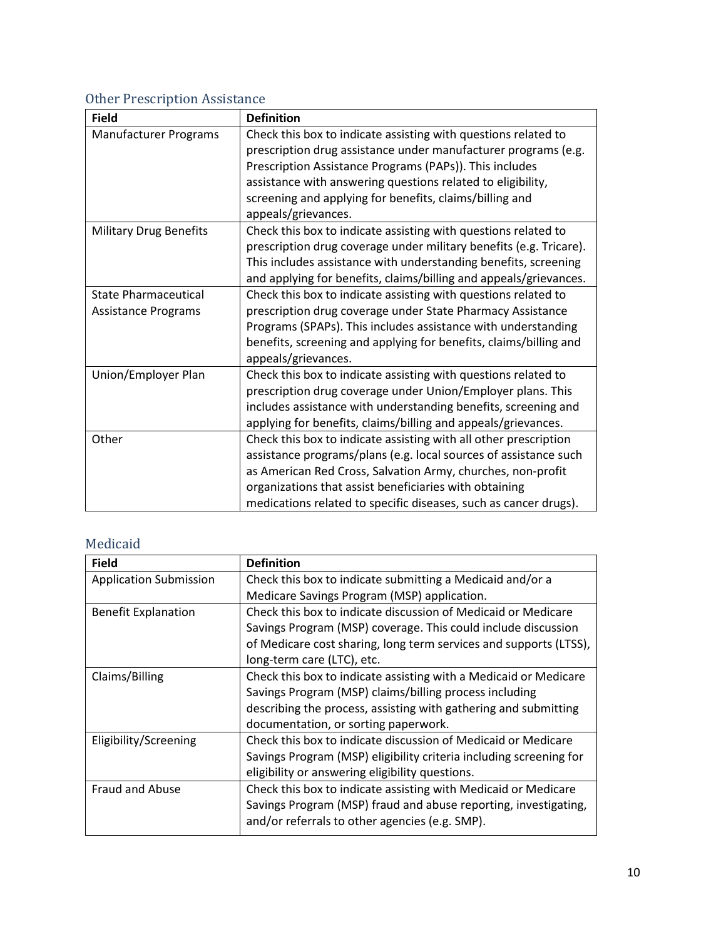#### Other Prescription Assistance

| <b>Field</b>                  | <b>Definition</b>                                                  |
|-------------------------------|--------------------------------------------------------------------|
| <b>Manufacturer Programs</b>  | Check this box to indicate assisting with questions related to     |
|                               | prescription drug assistance under manufacturer programs (e.g.     |
|                               | Prescription Assistance Programs (PAPs)). This includes            |
|                               | assistance with answering questions related to eligibility,        |
|                               | screening and applying for benefits, claims/billing and            |
|                               | appeals/grievances.                                                |
| <b>Military Drug Benefits</b> | Check this box to indicate assisting with questions related to     |
|                               | prescription drug coverage under military benefits (e.g. Tricare). |
|                               | This includes assistance with understanding benefits, screening    |
|                               | and applying for benefits, claims/billing and appeals/grievances.  |
| <b>State Pharmaceutical</b>   | Check this box to indicate assisting with questions related to     |
| <b>Assistance Programs</b>    | prescription drug coverage under State Pharmacy Assistance         |
|                               | Programs (SPAPs). This includes assistance with understanding      |
|                               | benefits, screening and applying for benefits, claims/billing and  |
|                               | appeals/grievances.                                                |
| Union/Employer Plan           | Check this box to indicate assisting with questions related to     |
|                               | prescription drug coverage under Union/Employer plans. This        |
|                               | includes assistance with understanding benefits, screening and     |
|                               | applying for benefits, claims/billing and appeals/grievances.      |
| Other                         | Check this box to indicate assisting with all other prescription   |
|                               | assistance programs/plans (e.g. local sources of assistance such   |
|                               | as American Red Cross, Salvation Army, churches, non-profit        |
|                               | organizations that assist beneficiaries with obtaining             |
|                               | medications related to specific diseases, such as cancer drugs).   |

#### Medicaid

| <b>Field</b>                  | <b>Definition</b>                                                  |
|-------------------------------|--------------------------------------------------------------------|
| <b>Application Submission</b> | Check this box to indicate submitting a Medicaid and/or a          |
|                               | Medicare Savings Program (MSP) application.                        |
| <b>Benefit Explanation</b>    | Check this box to indicate discussion of Medicaid or Medicare      |
|                               | Savings Program (MSP) coverage. This could include discussion      |
|                               | of Medicare cost sharing, long term services and supports (LTSS),  |
|                               | long-term care (LTC), etc.                                         |
| Claims/Billing                | Check this box to indicate assisting with a Medicaid or Medicare   |
|                               | Savings Program (MSP) claims/billing process including             |
|                               | describing the process, assisting with gathering and submitting    |
|                               | documentation, or sorting paperwork.                               |
| Eligibility/Screening         | Check this box to indicate discussion of Medicaid or Medicare      |
|                               | Savings Program (MSP) eligibility criteria including screening for |
|                               | eligibility or answering eligibility questions.                    |
| <b>Fraud and Abuse</b>        | Check this box to indicate assisting with Medicaid or Medicare     |
|                               | Savings Program (MSP) fraud and abuse reporting, investigating,    |
|                               | and/or referrals to other agencies (e.g. SMP).                     |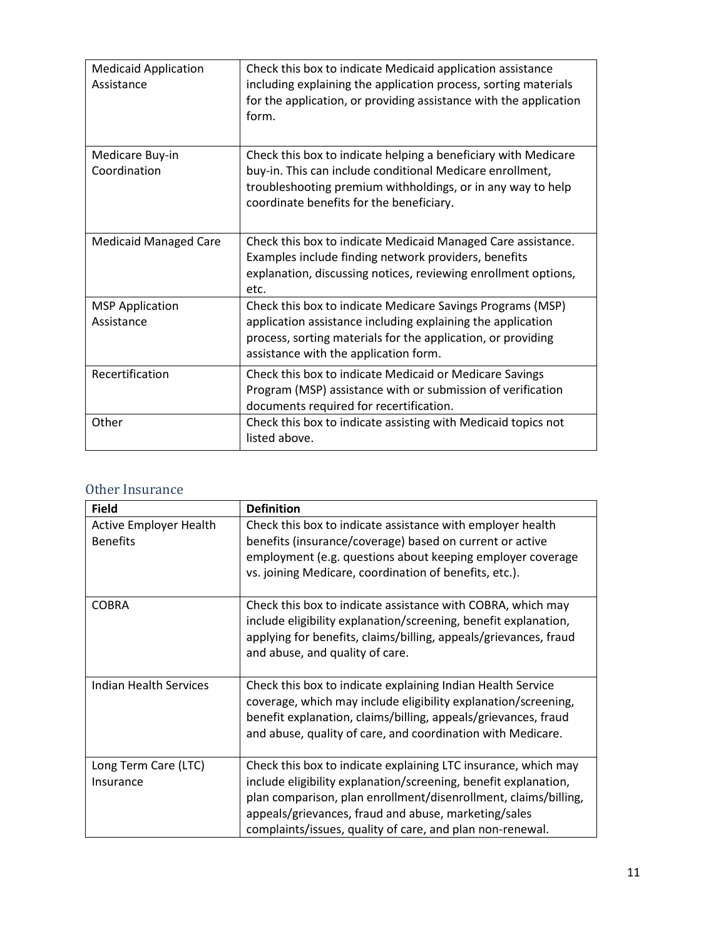| <b>Medicaid Application</b><br>Assistance | Check this box to indicate Medicaid application assistance<br>including explaining the application process, sorting materials<br>for the application, or providing assistance with the application<br>form.                            |
|-------------------------------------------|----------------------------------------------------------------------------------------------------------------------------------------------------------------------------------------------------------------------------------------|
| Medicare Buy-in<br>Coordination           | Check this box to indicate helping a beneficiary with Medicare<br>buy-in. This can include conditional Medicare enrollment,<br>troubleshooting premium withholdings, or in any way to help<br>coordinate benefits for the beneficiary. |
| <b>Medicaid Managed Care</b>              | Check this box to indicate Medicaid Managed Care assistance.<br>Examples include finding network providers, benefits<br>explanation, discussing notices, reviewing enrollment options,<br>etc.                                         |
| <b>MSP Application</b><br>Assistance      | Check this box to indicate Medicare Savings Programs (MSP)<br>application assistance including explaining the application<br>process, sorting materials for the application, or providing<br>assistance with the application form.     |
| Recertification                           | Check this box to indicate Medicaid or Medicare Savings<br>Program (MSP) assistance with or submission of verification<br>documents required for recertification.                                                                      |
| Other                                     | Check this box to indicate assisting with Medicaid topics not<br>listed above.                                                                                                                                                         |

#### Other Insurance

| <b>Field</b>                                     | <b>Definition</b>                                                                                                                                                                                                                                                                                                         |
|--------------------------------------------------|---------------------------------------------------------------------------------------------------------------------------------------------------------------------------------------------------------------------------------------------------------------------------------------------------------------------------|
| <b>Active Employer Health</b><br><b>Benefits</b> | Check this box to indicate assistance with employer health<br>benefits (insurance/coverage) based on current or active<br>employment (e.g. questions about keeping employer coverage<br>vs. joining Medicare, coordination of benefits, etc.).                                                                            |
| <b>COBRA</b>                                     | Check this box to indicate assistance with COBRA, which may<br>include eligibility explanation/screening, benefit explanation,<br>applying for benefits, claims/billing, appeals/grievances, fraud<br>and abuse, and quality of care.                                                                                     |
| Indian Health Services                           | Check this box to indicate explaining Indian Health Service<br>coverage, which may include eligibility explanation/screening,<br>benefit explanation, claims/billing, appeals/grievances, fraud<br>and abuse, quality of care, and coordination with Medicare.                                                            |
| Long Term Care (LTC)<br>Insurance                | Check this box to indicate explaining LTC insurance, which may<br>include eligibility explanation/screening, benefit explanation,<br>plan comparison, plan enrollment/disenrollment, claims/billing,<br>appeals/grievances, fraud and abuse, marketing/sales<br>complaints/issues, quality of care, and plan non-renewal. |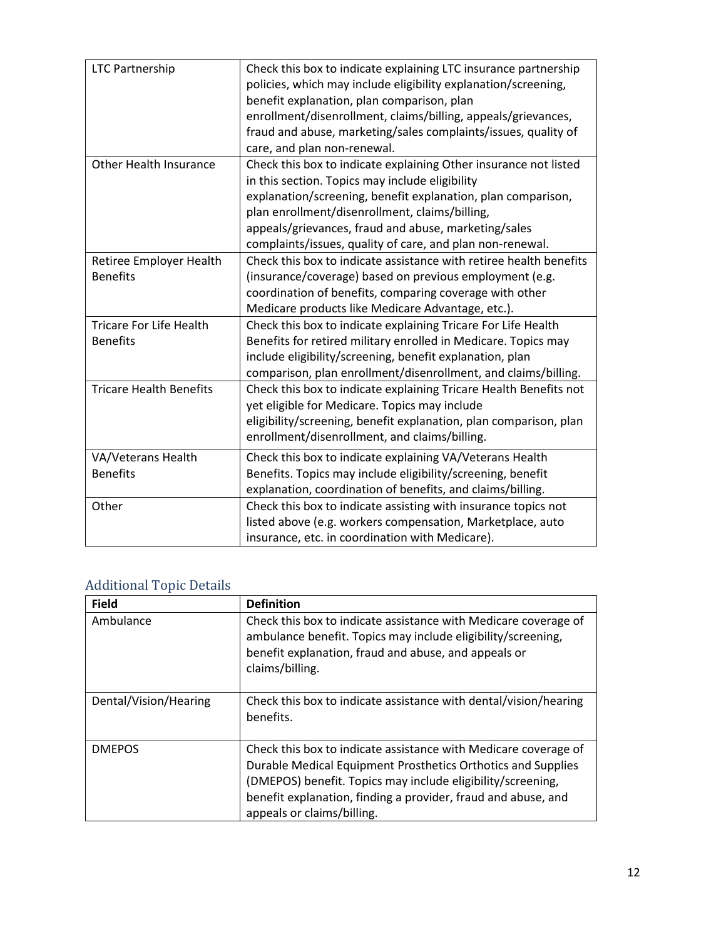| <b>LTC Partnership</b>                            | Check this box to indicate explaining LTC insurance partnership<br>policies, which may include eligibility explanation/screening,<br>benefit explanation, plan comparison, plan<br>enrollment/disenrollment, claims/billing, appeals/grievances,<br>fraud and abuse, marketing/sales complaints/issues, quality of<br>care, and plan non-renewal.          |
|---------------------------------------------------|------------------------------------------------------------------------------------------------------------------------------------------------------------------------------------------------------------------------------------------------------------------------------------------------------------------------------------------------------------|
| Other Health Insurance                            | Check this box to indicate explaining Other insurance not listed<br>in this section. Topics may include eligibility<br>explanation/screening, benefit explanation, plan comparison,<br>plan enrollment/disenrollment, claims/billing,<br>appeals/grievances, fraud and abuse, marketing/sales<br>complaints/issues, quality of care, and plan non-renewal. |
| Retiree Employer Health<br><b>Benefits</b>        | Check this box to indicate assistance with retiree health benefits<br>(insurance/coverage) based on previous employment (e.g.<br>coordination of benefits, comparing coverage with other<br>Medicare products like Medicare Advantage, etc.).                                                                                                              |
| <b>Tricare For Life Health</b><br><b>Benefits</b> | Check this box to indicate explaining Tricare For Life Health<br>Benefits for retired military enrolled in Medicare. Topics may<br>include eligibility/screening, benefit explanation, plan<br>comparison, plan enrollment/disenrollment, and claims/billing.                                                                                              |
| <b>Tricare Health Benefits</b>                    | Check this box to indicate explaining Tricare Health Benefits not<br>yet eligible for Medicare. Topics may include<br>eligibility/screening, benefit explanation, plan comparison, plan<br>enrollment/disenrollment, and claims/billing.                                                                                                                   |
| VA/Veterans Health<br><b>Benefits</b>             | Check this box to indicate explaining VA/Veterans Health<br>Benefits. Topics may include eligibility/screening, benefit<br>explanation, coordination of benefits, and claims/billing.                                                                                                                                                                      |
| Other                                             | Check this box to indicate assisting with insurance topics not<br>listed above (e.g. workers compensation, Marketplace, auto<br>insurance, etc. in coordination with Medicare).                                                                                                                                                                            |

#### Additional Topic Details

| <b>Field</b>          | <b>Definition</b>                                                                                                                                                                                                                                                                             |
|-----------------------|-----------------------------------------------------------------------------------------------------------------------------------------------------------------------------------------------------------------------------------------------------------------------------------------------|
| Ambulance             | Check this box to indicate assistance with Medicare coverage of<br>ambulance benefit. Topics may include eligibility/screening,<br>benefit explanation, fraud and abuse, and appeals or<br>claims/billing.                                                                                    |
| Dental/Vision/Hearing | Check this box to indicate assistance with dental/vision/hearing<br>benefits.                                                                                                                                                                                                                 |
| <b>DMEPOS</b>         | Check this box to indicate assistance with Medicare coverage of<br>Durable Medical Equipment Prosthetics Orthotics and Supplies<br>(DMEPOS) benefit. Topics may include eligibility/screening,<br>benefit explanation, finding a provider, fraud and abuse, and<br>appeals or claims/billing. |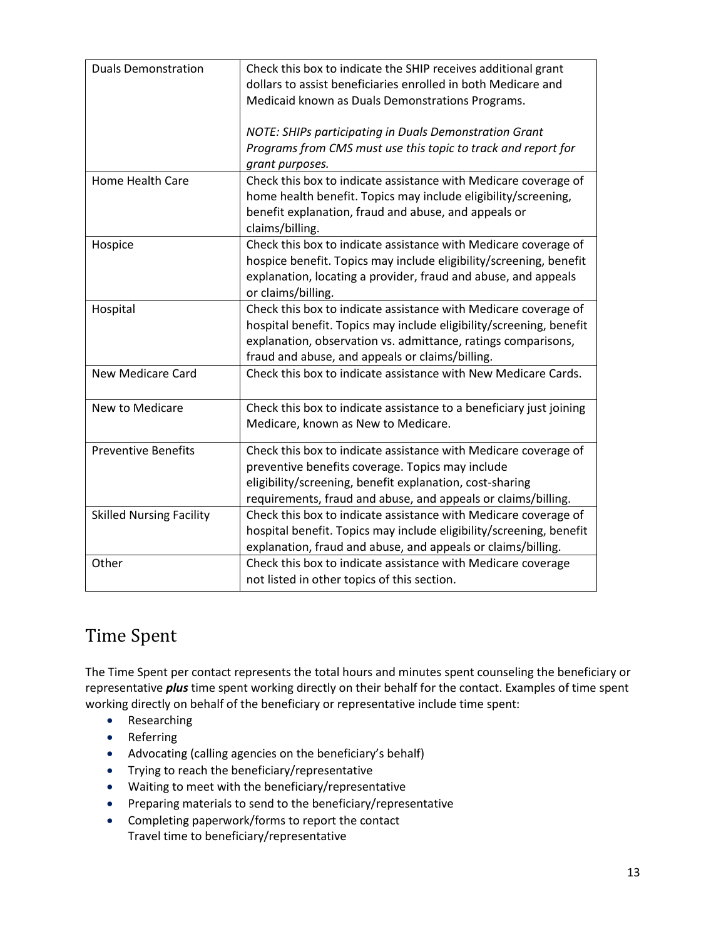| <b>Duals Demonstration</b>      | Check this box to indicate the SHIP receives additional grant<br>dollars to assist beneficiaries enrolled in both Medicare and<br>Medicaid known as Duals Demonstrations Programs.                                                                         |
|---------------------------------|------------------------------------------------------------------------------------------------------------------------------------------------------------------------------------------------------------------------------------------------------------|
|                                 | NOTE: SHIPs participating in Duals Demonstration Grant<br>Programs from CMS must use this topic to track and report for<br>grant purposes.                                                                                                                 |
| Home Health Care                | Check this box to indicate assistance with Medicare coverage of<br>home health benefit. Topics may include eligibility/screening,<br>benefit explanation, fraud and abuse, and appeals or<br>claims/billing.                                               |
| Hospice                         | Check this box to indicate assistance with Medicare coverage of<br>hospice benefit. Topics may include eligibility/screening, benefit<br>explanation, locating a provider, fraud and abuse, and appeals<br>or claims/billing.                              |
| Hospital                        | Check this box to indicate assistance with Medicare coverage of<br>hospital benefit. Topics may include eligibility/screening, benefit<br>explanation, observation vs. admittance, ratings comparisons,<br>fraud and abuse, and appeals or claims/billing. |
| <b>New Medicare Card</b>        | Check this box to indicate assistance with New Medicare Cards.                                                                                                                                                                                             |
| New to Medicare                 | Check this box to indicate assistance to a beneficiary just joining<br>Medicare, known as New to Medicare.                                                                                                                                                 |
| <b>Preventive Benefits</b>      | Check this box to indicate assistance with Medicare coverage of<br>preventive benefits coverage. Topics may include<br>eligibility/screening, benefit explanation, cost-sharing<br>requirements, fraud and abuse, and appeals or claims/billing.           |
| <b>Skilled Nursing Facility</b> | Check this box to indicate assistance with Medicare coverage of<br>hospital benefit. Topics may include eligibility/screening, benefit<br>explanation, fraud and abuse, and appeals or claims/billing.                                                     |
| Other                           | Check this box to indicate assistance with Medicare coverage<br>not listed in other topics of this section.                                                                                                                                                |

## Time Spent

The Time Spent per contact represents the total hours and minutes spent counseling the beneficiary or representative *plus* time spent working directly on their behalf for the contact. Examples of time spent working directly on behalf of the beneficiary or representative include time spent:

- Researching
- Referring
- Advocating (calling agencies on the beneficiary's behalf)
- Trying to reach the beneficiary/representative
- Waiting to meet with the beneficiary/representative
- Preparing materials to send to the beneficiary/representative
- Completing paperwork/forms to report the contact Travel time to beneficiary/representative